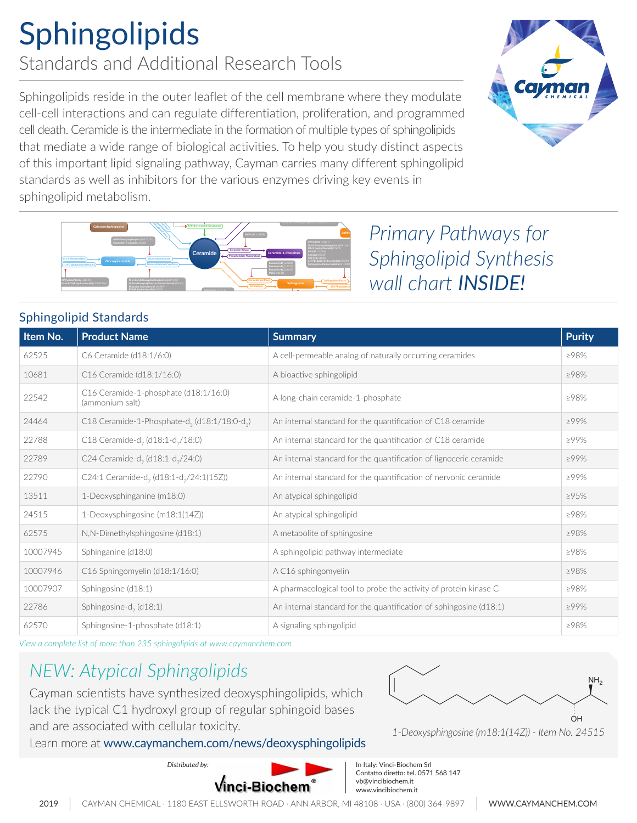## Sphingolipids Standards and Additional Research Tools

Sphingolipids reside in the outer leaflet of the cell membrane where they modulate cell-cell interactions and can regulate differentiation, proliferation, and programmed cell death. Ceramide is the intermediate in the formation of multiple types of sphingolipids that mediate a wide range of biological activities. To help you study distinct aspects of this important lipid signaling pathway, Cayman carries many different sphingolipid standards as well as inhibitors for the various enzymes driving key events in sphingolipid metabolism. **1-Aminodecylidene** *bis***-Phosphonic Acid (sodium salt)** *(13583)* **Ethanolamine-1-Phosphate +**





**Primary Pathways for** *Sphingolipid Synthesis wall chart INSIDE!*

#### Sphingolipid Standards

**(lacto-, neolacto-, globo-, ganglio-series)**

| Item No. | <b>Product Name</b>                                                  | <b>Summary</b>                                                     | <b>Purity</b> |
|----------|----------------------------------------------------------------------|--------------------------------------------------------------------|---------------|
| 62525    | C6 Ceramide (d18:1/6:0)                                              | A cell-permeable analog of naturally occurring ceramides           | >98%          |
| 10681    | C16 Ceramide (d18:1/16:0)                                            | A bioactive sphingolipid                                           | >98%          |
| 22542    | C16 Ceramide-1-phosphate (d18:1/16:0)<br>(ammonium salt)             | A long-chain ceramide-1-phosphate                                  | >98%          |
| 24464    | C18 Ceramide-1-Phosphate-d <sub>3</sub> (d18:1/18:0-d <sub>3</sub> ) | An internal standard for the quantification of C18 ceramide        | ≥99%          |
| 22788    | C18 Ceramide-d <sub>7</sub> (d18:1-d <sub>7</sub> /18:0)             | An internal standard for the quantification of C18 ceramide        | $>99\%$       |
| 22789    | C24 Ceramide-d <sub>7</sub> (d18:1-d <sub>7</sub> /24:0)             | An internal standard for the quantification of lignoceric ceramide | >99%          |
| 22790    | C24:1 Ceramide-d <sub>7</sub> (d18:1-d <sub>7</sub> /24:1(15Z))      | An internal standard for the quantification of nervonic ceramide   | $>99\%$       |
| 13511    | 1-Deoxysphinganine (m18:0)                                           | An atypical sphingolipid                                           | ≥95%          |
| 24515    | 1-Deoxysphingosine (m18:1(14Z))                                      | An atypical sphingolipid                                           | >98%          |
| 62575    | N,N-Dimethylsphingosine (d18:1)                                      | A metabolite of sphingosine                                        | >98%          |
| 10007945 | Sphinganine (d18:0)                                                  | A sphingolipid pathway intermediate                                | >98%          |
| 10007946 | $C16$ Sphingomyelin (d18:1/16:0)                                     | A C16 sphingomyelin                                                | >98%          |
| 10007907 | Sphingosine (d18:1)                                                  | A pharmacological tool to probe the activity of protein kinase C   | >98%          |
| 22786    | Sphingosine-d <sub>2</sub> (d18:1)                                   | An internal standard for the quantification of sphingosine (d18:1) | $>99\%$       |
| 62570    | Sphingosine-1-phosphate (d18:1)                                      | A signaling sphingolipid                                           | >98%          |

**Galactosylsphingosine**

*View a complete list of more than 235 sphingolipids at www.caymanchem.com*

### *NEW: Atypical Sphingolipids*

Cayman scientists have synthesized deoxysphingolipids, which lack the typical C1 hydroxyl group of regular sphingoid bases and are associated with cellular toxicity.

Learn more at [www.caymanchem.com/news/deoxysphingolipids](http://www.caymanchem.com/news/deoxysphingolipids)



*<sup>1-</sup>Deoxysphingosine (m18:1(14Z)) - Item No. 24515*

*Distributed by:*



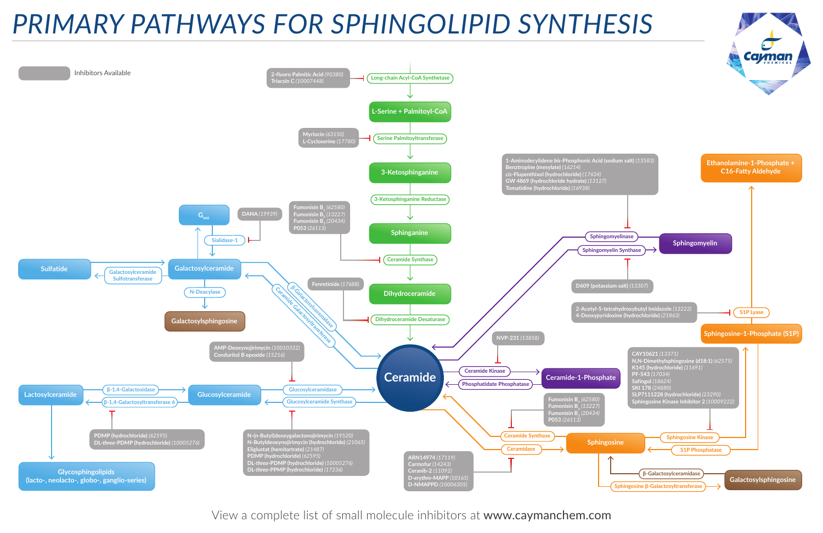# *PRIMARY PATHWAYS FOR SPHINGOLIPID SYNTHESIS*

View a complete list of [small molecule inhibitors](https://www.caymanchem.com/search?fq=raptas:RAP000018&fq=raptas:RAP000044&fq=raptas:RAP019515) at [www.caymanchem.com](https://www.caymanchem.com/Search?q=*%3A*&fq=raptas%3ARAP000030)